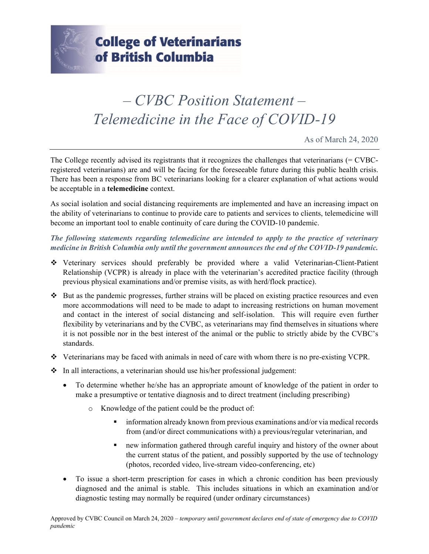

## *– CVBC Position Statement – Telemedicine in the Face of COVID-19*

As of March 24, 2020

The College recently advised its registrants that it recognizes the challenges that veterinarians (= CVBCregistered veterinarians) are and will be facing for the foreseeable future during this public health crisis. There has been a response from BC veterinarians looking for a clearer explanation of what actions would be acceptable in a **telemedicine** context.

As social isolation and social distancing requirements are implemented and have an increasing impact on the ability of veterinarians to continue to provide care to patients and services to clients, telemedicine will become an important tool to enable continuity of care during the COVID-10 pandemic.

*The following statements regarding telemedicine are intended to apply to the practice of veterinary medicine in British Columbia only until the government announces the end of the COVID-19 pandemic.* 

- Veterinary services should preferably be provided where a valid Veterinarian-Client-Patient Relationship (VCPR) is already in place with the veterinarian's accredited practice facility (through previous physical examinations and/or premise visits, as with herd/flock practice).
- $\cdot \cdot$  But as the pandemic progresses, further strains will be placed on existing practice resources and even more accommodations will need to be made to adapt to increasing restrictions on human movement and contact in the interest of social distancing and self-isolation. This will require even further flexibility by veterinarians and by the CVBC, as veterinarians may find themselves in situations where it is not possible nor in the best interest of the animal or the public to strictly abide by the CVBC's standards.
- Veterinarians may be faced with animals in need of care with whom there is no pre-existing VCPR.
- $\div$  In all interactions, a veterinarian should use his/her professional judgement:
	- To determine whether he/she has an appropriate amount of knowledge of the patient in order to make a presumptive or tentative diagnosis and to direct treatment (including prescribing)
		- o Knowledge of the patient could be the product of:
			- information already known from previous examinations and/or via medical records from (and/or direct communications with) a previous/regular veterinarian, and
			- new information gathered through careful inquiry and history of the owner about the current status of the patient, and possibly supported by the use of technology (photos, recorded video, live-stream video-conferencing, etc)
	- To issue a short-term prescription for cases in which a chronic condition has been previously diagnosed and the animal is stable. This includes situations in which an examination and/or diagnostic testing may normally be required (under ordinary circumstances)